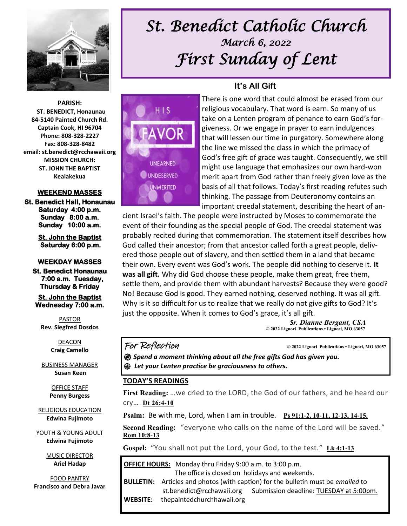

## *St. Benedict Catholic Church March 6, 2022 First Sunday of Lent*

**It's All Gift**

#### **PARISH: ST. BENEDICT, Honaunau 84-5140 Painted Church Rd. Captain Cook, HI 96704 Phone: 808-328-2227 Fax: 808-328-8482 email: st.benedict@rcchawaii.org MISSION CHURCH: ST. JOHN THE BAPTIST Kealakekua**

#### **WEEKEND MASSES**

**St. Benedict Hall, Honaunau Saturday 4:00 p.m. Sunday 8:00 a.m. Sunday 10:00 a.m.** 

> **St. John the Baptist Saturday 6:00 p.m.**

#### **WEEKDAY MASSES**

**St. Benedict Honaunau 7:00 a.m. Tuesday, Thursday & Friday** 

**St. John the Baptist Wednesday 7:00 a.m.** 

PASTOR **Rev. Siegfred Dosdos**

> DEACON **Craig Camello**

BUSINESS MANAGER **Susan Keen**

> OFFICE STAFF **Penny Burgess**

RELIGIOUS EDUCATION **Edwina Fujimoto**

YOUTH & YOUNG ADULT **Edwina Fujimoto**

> MUSIC DIRECTOR **Ariel Hadap**

FOOD PANTRY **Francisco and Debra Javar**



# There is one word that could almost be erased from our

religious vocabulary. That word is earn. So many of us take on a Lenten program of penance to earn God's forgiveness. Or we engage in prayer to earn indulgences that will lessen our time in purgatory. Somewhere along the line we missed the class in which the primacy of God's free gift of grace was taught. Consequently, we still might use language that emphasizes our own hard-won merit apart from God rather than freely given love as the basis of all that follows. Today's first reading refutes such thinking. The passage from Deuteronomy contains an important creedal statement, describing the heart of an-

cient Israel's faith. The people were instructed by Moses to commemorate the event of their founding as the special people of God. The creedal statement was probably recited during that commemoration. The statement itself describes how God called their ancestor; from that ancestor called forth a great people, delivered those people out of slavery, and then settled them in a land that became their own. Every event was God's work. The people did nothing to deserve it. **It was all gift.** Why did God choose these people, make them great, free them, settle them, and provide them with abundant harvests? Because they were good? No! Because God is good. They earned nothing, deserved nothing. It was all gift. Why is it so difficult for us to realize that we really do not give gifts to God? It's just the opposite. When it comes to God's grace, it's all gift.

> *Sr. Dianne Bergant, CSA*  **© 2022 Liguori Publications • Liguori, MO 63057**

#### For Reflection **© 2022 Liguori Publications • Liguori, MO 63057**

*֍ Spend a moment thinking about all the free gifts God has given you. ֍ Let your Lenten practice be graciousness to others.* 

#### **TODAY'S READINGS**

**First Reading:** …we cried to the LORD, the God of our fathers, and he heard our cry… **[Dt 26:4-10](https://bible.usccb.org/bible/sirach/27?4)** 

**Psalm:** Be with me, Lord, when I am in trouble. **[Ps 91:1-2, 10-11, 12-13, 14-15.](https://bible.usccb.org/bible/psalms/91?1)**

**Second Reading:** "everyone who calls on the name of the Lord will be saved." **[Rom 10:8-13](https://bible.usccb.org/bible/romans/10?8)**

Gospel: "You shall not put the Lord, your God, to the test." [Lk 4:1-13](https://bible.usccb.org/bible/luke/4?1)

| <b>OFFICE HOURS:</b> Monday thru Friday 9:00 a.m. to 3:00 p.m. |                                                                                                |                                         |
|----------------------------------------------------------------|------------------------------------------------------------------------------------------------|-----------------------------------------|
| The office is closed on holidays and weekends.                 |                                                                                                |                                         |
|                                                                | <b>BULLETIN:</b> Articles and photos (with caption) for the bulletin must be <i>emailed</i> to |                                         |
|                                                                | st.benedict@rcchawaii.org                                                                      | Submission deadline: TUESDAY at 5:00pm. |
| <b>WEBSITE:</b>                                                | thepaintedchurchhawaii.org                                                                     |                                         |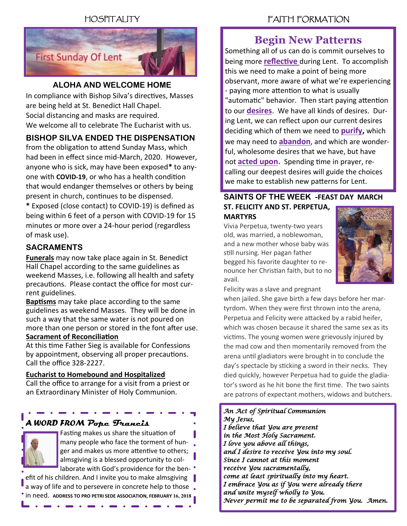### HOSPITALITY



### **ALOHA AND WELCOME HOME**

In compliance with Bishop Silva's directives, Masses are being held at St. Benedict Hall Chapel. Social distancing and masks are required. We welcome all to celebrate The Eucharist with us.

### **BISHOP SILVA ENDED THE DISPENSATION**

from the obligation to attend Sunday Mass, which had been in effect since mid-March, 2020. However, anyone who is sick, may have been exposed**\*** to anyone with **COVID-19**, or who has a health condition that would endanger themselves or others by being present in church, continues to be dispensed.

**\*** Exposed (close contact) to COVID-19) is defined as being within 6 feet of a person with COVID-19 for 15 minutes or more over a 24-hour period (regardless of mask use).

### **SACRAMENTS**

**Funerals** may now take place again in St. Benedict Hall Chapel according to the same guidelines as weekend Masses, i.e. following all health and safety precautions. Please contact the office for most current guidelines.

**Baptisms** may take place according to the same guidelines as weekend Masses. They will be done in such a way that the same water is not poured on more than one person or stored in the font after use. **Sacrament of Reconciliation**

At this time Father Sieg is available for Confessions by appointment, observing all proper precautions. Call the office 328-2227.

#### **Eucharist to Homebound and Hospitalized**

Call the office to arrange for a visit from a priest or an Extraordinary Minister of Holy Communion.

### *A WORD FROM* **Pope Francis**



Fasting makes us share the situation of many people who face the torment of hunger and makes us more attentive to others; almsgiving is a blessed opportunity to collaborate with God's providence for the ben-

efit of his children. And I invite you to make almsgiving  $\|\cdot\|$ a way of life and to persevere in concrete help to those. **• in need. ADDRESS TO PRO PETRI SEDE ASSOCIATION, FEBRUARY 16, 2018** 

### FAITH FORMATION

### **Begin New Patterns**

Something all of us can do is commit ourselves to being more **reflective** during Lent. To accomplish this we need to make a point of being more observant, more aware of what we're experiencing - paying more attention to what is usually "automatic" behavior. Then start paying attention to our **desires**. We have all kinds of desires. During Lent, we can reflect upon our current desires deciding which of them we need to **purify,** which we may need to **abandon**, and which are wonderful, wholesome desires that we have, but have not **acted upon.** Spending time in prayer, recalling our deepest desires will guide the choices we make to establish new patterns for Lent.

#### **SAINTS OF THE WEEK -FEAST DAY MARCH ST. FELICITY AND ST. PERPETUA, MARTYRS**

Vivia Perpetua, twenty-two years old, was married, a noblewoman, and a new mother whose baby was still nursing. Her pagan father begged his favorite daughter to renounce her Christian faith, but to no avail.



Felicity was a slave and pregnant

when jailed. She gave birth a few days before her martyrdom. When they were first thrown into the arena, Perpetua and Felicity were attacked by a rabid heifer, which was chosen because it shared the same sex as its victims. The young women were grievously injured by the mad cow and then momentarily removed from the arena until gladiators were brought in to conclude the day's spectacle by sticking a sword in their necks. They died quickly, however Perpetua had to guide the gladiator's sword as he hit bone the first time. The two saints are patrons of expectant mothers, widows and butchers.

#### *An Act of Spiritual Communion My Jesus, I believe that You are present in the Most Holy Sacrament. I love you above all things, and I desire to receive You into my soul. Since I cannot at this moment receive You sacramentally, come at least spiritually into my heart. I embrace You as if You were already there and unite myself wholly to You. Never permit me to be separated from You. Amen.*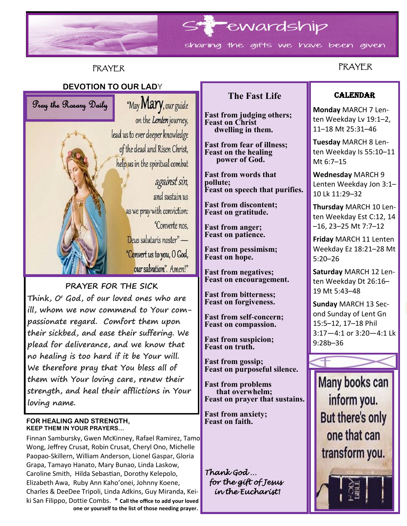

### PRAYER

### **PRAYER**

### **DEVOTION TO OUR LADY**



 **We therefore pray that You bless all of PRAYER FOR THE SICK Think, O' God, of our loved ones who are ill, whom we now commend to Your compassionate regard. Comfort them upon their sickbed, and ease their suffering. We plead for deliverance, and we know that no healing is too hard if it be Your will. them with Your loving care, renew their strength, and heal their afflictions in Your loving name.**

#### **FOR HEALING AND STRENGTH, KEEP THEM IN YOUR PRAYERS…**

Finnan Sambursky, Gwen McKinney, Rafael Ramirez, Tamo Wong, Jeffrey Crusat, Robin Crusat, Cheryl Ono, Michelle Paopao-Skillern, William Anderson, Lionel Gaspar, Gloria Grapa, Tamayo Hanato, Mary Bunao, Linda Laskow, Caroline Smith, Hilda Sebastian, Dorothy Kelepolo, Elizabeth Awa, Ruby Ann Kaho'onei, Johnny Koene, Charles & DeeDee Tripoli, Linda Adkins, Guy Miranda, Keiki San Filippo, Dottie Combs. \* **Call the office to add your loved one or yourself to the list of those needing prayer.**

### **The Fast Life**

**Fast from judging others; Feast on Christ dwelling in them.**

**Fast from fear of illness; Feast on the healing power of God.**

**Fast from words that pollute; Feast on speech that purifies.**

**Fast from discontent; Feast on gratitude.**

**Fast from anger; Feast on patience.**

**Fast from pessimism; Feast on hope.**

**Fast from negatives; Feast on encouragement.**

**Fast from bitterness; Feast on forgiveness.**

**Fast from self-concern; Feast on compassion.**

**Fast from suspicion; Feast on truth.**

**Fast from gossip; Feast on purposeful silence.**

**Fast from problems that overwhelm; Feast on prayer that sustains.**

**Fast from anxiety; Feast on faith.**

*Thank God … for the gift of Jesus in the Eucharist!* 

### **CALENDAR**

**Monday** MARCH 7 Lenten Weekday Lv 19:1–2, 11–18 Mt 25:31–46

**Tuesday** MARCH 8 Lenten Weekday Is 55:10–11 Mt 6:7–15

**Wednesday** MARCH 9 Lenten Weekday Jon 3:1– 10 Lk 11:29–32

**Thursday** MARCH 10 Lenten Weekday Est C:12, 14 –16, 23–25 Mt 7:7–12

**Friday** MARCH 11 Lenten Weekday Ez 18:21–28 Mt 5:20–26

**Saturday** MARCH 12 Lenten Weekday Dt 26:16– 19 Mt 5:43–48

**Sunday** MARCH 13 Second Sunday of Lent Gn 15:5–12, 17–18 Phil 3:17—4:1 or 3:20—4:1 Lk 9:28b–36

Many books can inform you. **But there's only** one that can transform you.